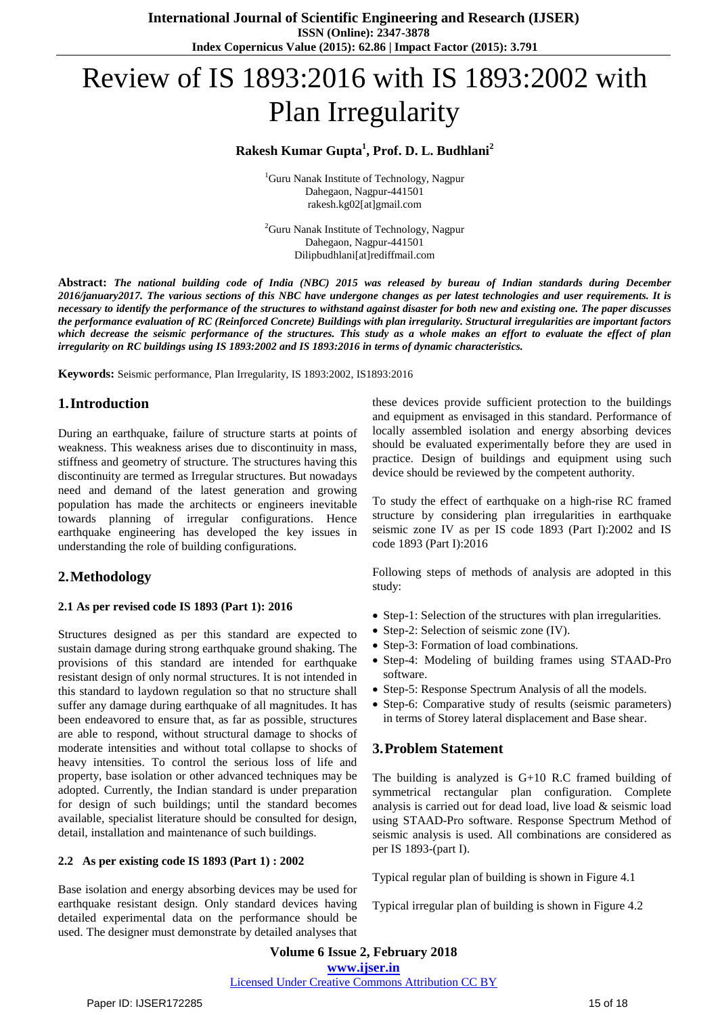# Review of IS 1893:2016 with IS 1893:2002 with Plan Irregularity

## **Rakesh Kumar Gupta<sup>1</sup> , Prof. D. L. Budhlani<sup>2</sup>**

<sup>1</sup>Guru Nanak Institute of Technology, Nagpur Dahegaon, Nagpur-441501 rakesh.kg02[at]gmail.com

<sup>2</sup>Guru Nanak Institute of Technology, Nagpur Dahegaon, Nagpur-441501 Dilipbudhlani[at]rediffmail.com

Abstract: The national building code of India (NBC) 2015 was released by bureau of Indian standards during December 2016/january2017. The various sections of this NBC have undergone changes as per latest technologies and user requirements. It is necessary to identify the performance of the structures to withstand against disaster for both new and existing one. The paper discusses the performance evaluation of RC (Reinforced Concrete) Buildings with plan irregularity. Structural irregularities are important factors which decrease the seismic performance of the structures. This study as a whole makes an effort to evaluate the effect of plan *irregularity on RC buildings using IS 1893:2002 and IS 1893:2016 in terms of dynamic characteristics.*

**Keywords:** Seismic performance, Plan Irregularity, IS 1893:2002, IS1893:2016

## **1.Introduction**

During an earthquake, failure of structure starts at points of weakness. This weakness arises due to discontinuity in mass, stiffness and geometry of structure. The structures having this discontinuity are termed as Irregular structures. But nowadays need and demand of the latest generation and growing population has made the architects or engineers inevitable towards planning of irregular configurations. Hence earthquake engineering has developed the key issues in understanding the role of building configurations.

# **2.Methodology**

#### **2.1 As per revised code IS 1893 (Part 1): 2016**

Structures designed as per this standard are expected to sustain damage during strong earthquake ground shaking. The provisions of this standard are intended for earthquake resistant design of only normal structures. It is not intended in this standard to laydown regulation so that no structure shall suffer any damage during earthquake of all magnitudes. It has been endeavored to ensure that, as far as possible, structures are able to respond, without structural damage to shocks of moderate intensities and without total collapse to shocks of heavy intensities. To control the serious loss of life and property, base isolation or other advanced techniques may be adopted. Currently, the Indian standard is under preparation for design of such buildings; until the standard becomes available, specialist literature should be consulted for design, detail, installation and maintenance of such buildings.

#### **2.2 As per existing code IS 1893 (Part 1) : 2002**

Base isolation and energy absorbing devices may be used for earthquake resistant design. Only standard devices having detailed experimental data on the performance should be used. The designer must demonstrate by detailed analyses that

these devices provide sufficient protection to the buildings and equipment as envisaged in this standard. Performance of locally assembled isolation and energy absorbing devices should be evaluated experimentally before they are used in practice. Design of buildings and equipment using such device should be reviewed by the competent authority.

To study the effect of earthquake on a high-rise RC framed structure by considering plan irregularities in earthquake seismic zone IV as per IS code 1893 (Part I):2002 and IS code 1893 (Part I):2016

Following steps of methods of analysis are adopted in this study:

- Step-1: Selection of the structures with plan irregularities.
- Step-2: Selection of seismic zone (IV).
- Step-3: Formation of load combinations.
- Step-4: Modeling of building frames using STAAD-Pro software.
- Step-5: Response Spectrum Analysis of all the models.
- Step-6: Comparative study of results (seismic parameters) in terms of Storey lateral displacement and Base shear.

# **3.Problem Statement**

The building is analyzed is G+10 R.C framed building of symmetrical rectangular plan configuration. Complete analysis is carried out for dead load, live load & seismic load using STAAD-Pro software. Response Spectrum Method of seismic analysis is used. All combinations are considered as per IS 1893-(part I).

Typical regular plan of building is shown in Figure 4.1

Typical irregular plan of building is shown in Figure 4.2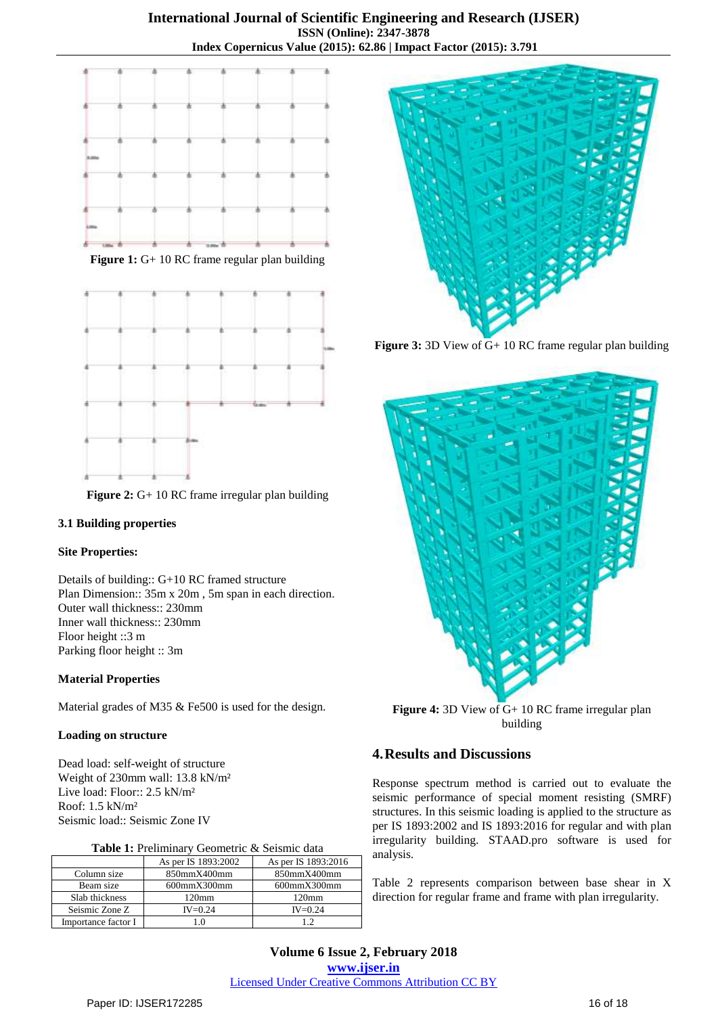

**Figure 1:** G+ 10 RC frame regular plan building



**Figure 2:** G+ 10 RC frame irregular plan building

### **3.1 Building properties**

### **Site Properties:**

Details of building:: G+10 RC framed structure Plan Dimension:: 35m x 20m , 5m span in each direction. Outer wall thickness:: 230mm Inner wall thickness:: 230mm Floor height ::3 m Parking floor height :: 3m

#### **Material Properties**

Material grades of M35 & Fe500 is used for the design.

#### **Loading on structure**

Dead load: self-weight of structure Weight of 230mm wall: 13.8 kN/m² Live load: Floor:: 2.5 kN/m² Roof: 1.5 kN/m² Seismic load:: Seismic Zone IV

| <b>Table 1:</b> Preliminary Geometric & Seismic data |                          |
|------------------------------------------------------|--------------------------|
| As per IS 1893:2002                                  | As per IS 1893:2016      |
| $\mathbf{v}$ $\mathbf{v}$                            | $0.50$ $\sigma$ $\sigma$ |

|                     | $A$ <sup>2</sup> DCI 10 1070.2002 | <b>AS DEL IS 1073.4010</b> |
|---------------------|-----------------------------------|----------------------------|
| Column size         | 850mmX400mm                       | 850mmX400mm                |
| Beam size           | $600$ mm $X300$ mm                | $600$ mm $X300$ mm         |
| Slab thickness      | 120 <sub>mm</sub>                 | 120 <sub>mm</sub>          |
| Seismic Zone Z      | $IV = 0.24$                       | $IV = 0.24$                |
| Importance factor I |                                   | 12                         |



**Figure 3:** 3D View of G+ 10 RC frame regular plan building



**Figure 4:** 3D View of G+ 10 RC frame irregular plan building

# **4.Results and Discussions**

Response spectrum method is carried out to evaluate the seismic performance of special moment resisting (SMRF) structures. In this seismic loading is applied to the structure as per IS 1893:2002 and IS 1893:2016 for regular and with plan irregularity building. STAAD.pro software is used for analysis.

Table 2 represents comparison between base shear in X direction for regular frame and frame with plan irregularity.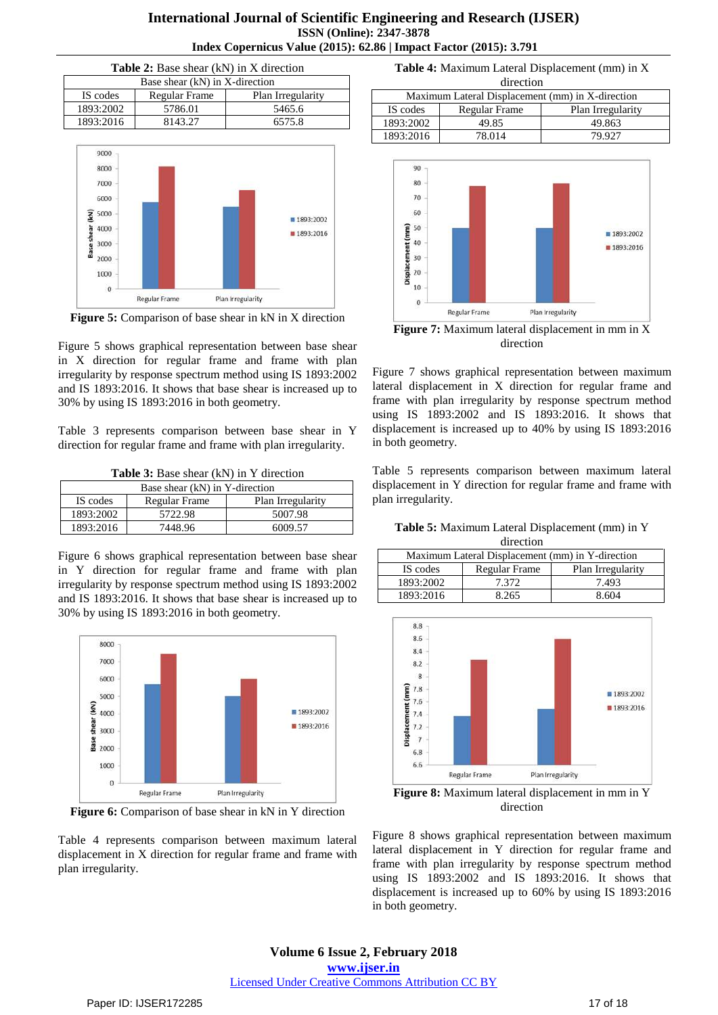| <b>International Journal of Scientific Engineering and Research (IJSER)</b> |
|-----------------------------------------------------------------------------|
| <b>ISSN</b> (Online): 2347-3878                                             |
| Index Copernicus Value (2015): 62.86   Impact Factor (2015): 3.791          |

| <b>Table 2:</b> Base shear (kN) in X direction        |         |        |  |  |
|-------------------------------------------------------|---------|--------|--|--|
| Base shear (kN) in X-direction                        |         |        |  |  |
| Plan Irregularity<br>IS codes<br><b>Regular Frame</b> |         |        |  |  |
| 1893:2002<br>5786.01                                  |         | 5465.6 |  |  |
| 1893:2016                                             | 8143.27 | 6575.8 |  |  |



**Figure 5:** Comparison of base shear in kN in X direction

Figure 5 shows graphical representation between base shear in X direction for regular frame and frame with plan irregularity by response spectrum method using IS 1893:2002 and IS 1893:2016. It shows that base shear is increased up to 30% by using IS 1893:2016 in both geometry.

Table 3 represents comparison between base shear in Y direction for regular frame and frame with plan irregularity.

**Table 3:** Base shear (kN) in Y direction

| Base shear (kN) in Y-direction                 |         |         |  |  |
|------------------------------------------------|---------|---------|--|--|
| IS codes<br>Regular Frame<br>Plan Irregularity |         |         |  |  |
| 1893:2002                                      | 5722.98 | 5007.98 |  |  |
| 1893:2016<br>7448.96<br>6009.57                |         |         |  |  |

Figure 6 shows graphical representation between base shear in Y direction for regular frame and frame with plan irregularity by response spectrum method using IS 1893:2002 and IS 1893:2016. It shows that base shear is increased up to 30% by using IS 1893:2016 in both geometry.



**Figure 6:** Comparison of base shear in kN in Y direction

Table 4 represents comparison between maximum lateral displacement in X direction for regular frame and frame with plan irregularity.

**Table 4:** Maximum Lateral Displacement (mm) in X direction

| Maximum Lateral Displacement (mm) in X-direction |               |                   |  |  |
|--------------------------------------------------|---------------|-------------------|--|--|
| IS codes                                         | Regular Frame | Plan Irregularity |  |  |
| 1893:2002                                        | 49.85         | 49.863            |  |  |
| 1893:2016                                        | 78.014        | 79.927            |  |  |



**Figure 7:** Maximum lateral displacement in mm in X direction

Figure 7 shows graphical representation between maximum lateral displacement in X direction for regular frame and frame with plan irregularity by response spectrum method using IS 1893:2002 and IS 1893:2016. It shows that displacement is increased up to 40% by using IS 1893:2016 in both geometry.

Table 5 represents comparison between maximum lateral displacement in Y direction for regular frame and frame with plan irregularity.

**Table 5:** Maximum Lateral Displacement (mm) in Y direction

| Maximum Lateral Displacement (mm) in Y-direction      |       |       |  |  |  |
|-------------------------------------------------------|-------|-------|--|--|--|
| IS codes<br>Plan Irregularity<br><b>Regular Frame</b> |       |       |  |  |  |
| 1893:2002                                             | 7.372 | 7.493 |  |  |  |
| 1893:2016<br>8.265<br>8.604                           |       |       |  |  |  |



**Figure 8:** Maximum lateral displacement in mm in Y direction

Figure 8 shows graphical representation between maximum lateral displacement in Y direction for regular frame and frame with plan irregularity by response spectrum method using IS 1893:2002 and IS 1893:2016. It shows that displacement is increased up to 60% by using IS 1893:2016 in both geometry.